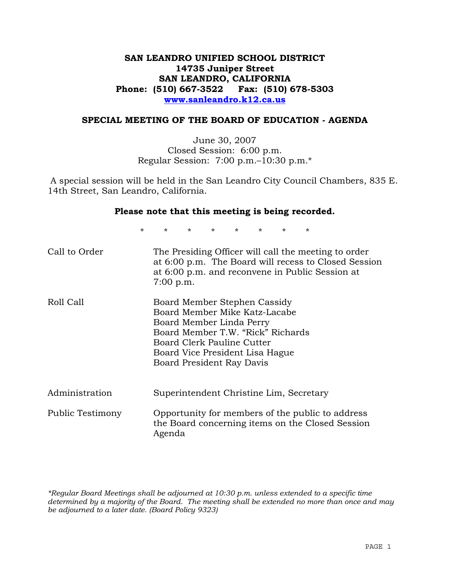## **SAN LEANDRO UNIFIED SCHOOL DISTRICT 14735 Juniper Street SAN LEANDRO, CALIFORNIA Phone: (510) 667-3522 Fax: (510) 678-5303 www.sanleandro.k12.ca.us**

## **SPECIAL MEETING OF THE BOARD OF EDUCATION - AGENDA**

June 30, 2007 Closed Session: 6:00 p.m. Regular Session: 7:00 p.m.–10:30 p.m.\*

 A special session will be held in the San Leandro City Council Chambers, 835 E. 14th Street, San Leandro, California.

#### **Please note that this meeting is being recorded.**

\* \* \* \* \* \* \* \*

| Call to Order    | The Presiding Officer will call the meeting to order<br>at 6:00 p.m. The Board will recess to Closed Session<br>at 6:00 p.m. and reconvene in Public Session at<br>7:00 p.m.                                                 |
|------------------|------------------------------------------------------------------------------------------------------------------------------------------------------------------------------------------------------------------------------|
| Roll Call        | Board Member Stephen Cassidy<br>Board Member Mike Katz-Lacabe<br>Board Member Linda Perry<br>Board Member T.W. "Rick" Richards<br>Board Clerk Pauline Cutter<br>Board Vice President Lisa Hague<br>Board President Ray Davis |
| Administration   | Superintendent Christine Lim, Secretary                                                                                                                                                                                      |
| Public Testimony | Opportunity for members of the public to address<br>the Board concerning items on the Closed Session<br>Agenda                                                                                                               |

*\*Regular Board Meetings shall be adjourned at 10:30 p.m. unless extended to a specific time determined by a majority of the Board. The meeting shall be extended no more than once and may be adjourned to a later date. (Board Policy 9323)*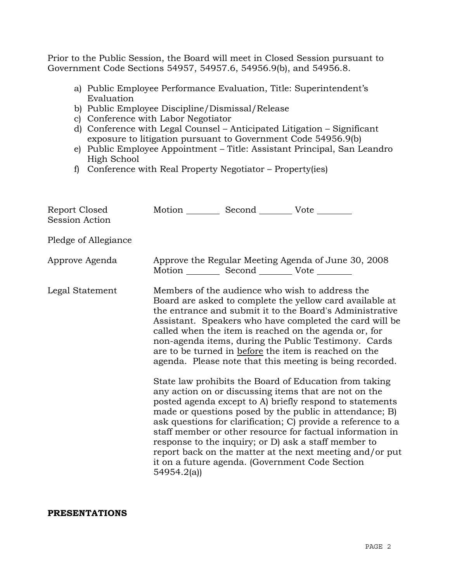Prior to the Public Session, the Board will meet in Closed Session pursuant to Government Code Sections 54957, 54957.6, 54956.9(b), and 54956.8.

- a) Public Employee Performance Evaluation, Title: Superintendent's Evaluation
- b) Public Employee Discipline/Dismissal/Release
- c) Conference with Labor Negotiator
- d) Conference with Legal Counsel Anticipated Litigation Significant exposure to litigation pursuant to Government Code 54956.9(b)
- e) Public Employee Appointment Title: Assistant Principal, San Leandro High School
- f) Conference with Real Property Negotiator Property(ies)

| Report Closed<br><b>Session Action</b> | Motion __________ Second __________ Vote ________ |                                                       |                                                                                                                                                                                                                                                                                                                                                                                                                                                                                                                                                                                                                                                                                                                                                                                                                                                                                                                                                                                                                        |
|----------------------------------------|---------------------------------------------------|-------------------------------------------------------|------------------------------------------------------------------------------------------------------------------------------------------------------------------------------------------------------------------------------------------------------------------------------------------------------------------------------------------------------------------------------------------------------------------------------------------------------------------------------------------------------------------------------------------------------------------------------------------------------------------------------------------------------------------------------------------------------------------------------------------------------------------------------------------------------------------------------------------------------------------------------------------------------------------------------------------------------------------------------------------------------------------------|
| Pledge of Allegiance                   |                                                   |                                                       |                                                                                                                                                                                                                                                                                                                                                                                                                                                                                                                                                                                                                                                                                                                                                                                                                                                                                                                                                                                                                        |
| Approve Agenda                         |                                                   | Motion ___________ Second ____________ Vote _________ | Approve the Regular Meeting Agenda of June 30, 2008                                                                                                                                                                                                                                                                                                                                                                                                                                                                                                                                                                                                                                                                                                                                                                                                                                                                                                                                                                    |
| Legal Statement                        | 54954.2(a)                                        |                                                       | Members of the audience who wish to address the<br>Board are asked to complete the yellow card available at<br>the entrance and submit it to the Board's Administrative<br>Assistant. Speakers who have completed the card will be<br>called when the item is reached on the agenda or, for<br>non-agenda items, during the Public Testimony. Cards<br>are to be turned in before the item is reached on the<br>agenda. Please note that this meeting is being recorded.<br>State law prohibits the Board of Education from taking<br>any action on or discussing items that are not on the<br>posted agenda except to A) briefly respond to statements<br>made or questions posed by the public in attendance; B)<br>ask questions for clarification; C) provide a reference to a<br>staff member or other resource for factual information in<br>response to the inquiry; or D) ask a staff member to<br>report back on the matter at the next meeting and/or put<br>it on a future agenda. (Government Code Section |

**PRESENTATIONS**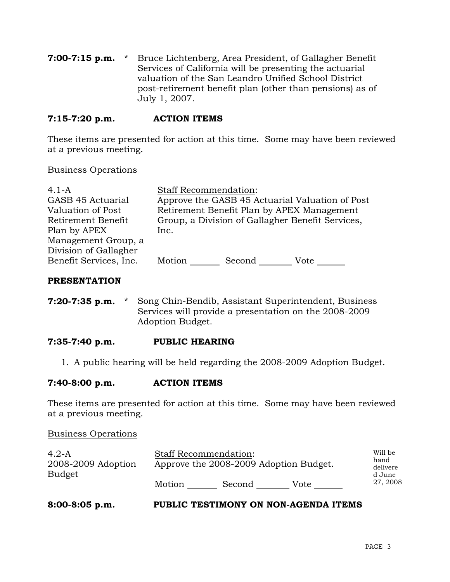**7:00-7:15 p.m.** \* Bruce Lichtenberg, Area President, of Gallagher Benefit Services of California will be presenting the actuarial valuation of the San Leandro Unified School District post-retirement benefit plan (other than pensions) as of July 1, 2007.

## **7:15-7:20 p.m. ACTION ITEMS**

These items are presented for action at this time. Some may have been reviewed at a previous meeting.

## Business Operations

| $4.1-A$                | <b>Staff Recommendation:</b>                     |        |      |  |
|------------------------|--------------------------------------------------|--------|------|--|
| GASB 45 Actuarial      | Approve the GASB 45 Actuarial Valuation of Post  |        |      |  |
| Valuation of Post      | Retirement Benefit Plan by APEX Management       |        |      |  |
| Retirement Benefit     | Group, a Division of Gallagher Benefit Services, |        |      |  |
| Plan by APEX           | Inc.                                             |        |      |  |
| Management Group, a    |                                                  |        |      |  |
| Division of Gallagher  |                                                  |        |      |  |
| Benefit Services, Inc. | Motion                                           | Second | Vote |  |
|                        |                                                  |        |      |  |

## **PRESENTATION**

**7:20-7:35 p.m.** \* Song Chin-Bendib, Assistant Superintendent, Business Services will provide a presentation on the 2008-2009 Adoption Budget.

## **7:35-7:40 p.m. PUBLIC HEARING**

1. A public hearing will be held regarding the 2008-2009 Adoption Budget.

## **7:40-8:00 p.m. ACTION ITEMS**

These items are presented for action at this time. Some may have been reviewed at a previous meeting.

#### Business Operations

| $4.2-A$<br>2008-2009 Adoption | <b>Staff Recommendation:</b><br>Approve the 2008-2009 Adoption Budget. |        |      | Will be<br>hand<br>delivere |
|-------------------------------|------------------------------------------------------------------------|--------|------|-----------------------------|
| <b>Budget</b>                 | Motion                                                                 | Second | Vote | d June<br>27, 2008          |

## **8:00-8:05 p.m. PUBLIC TESTIMONY ON NON-AGENDA ITEMS**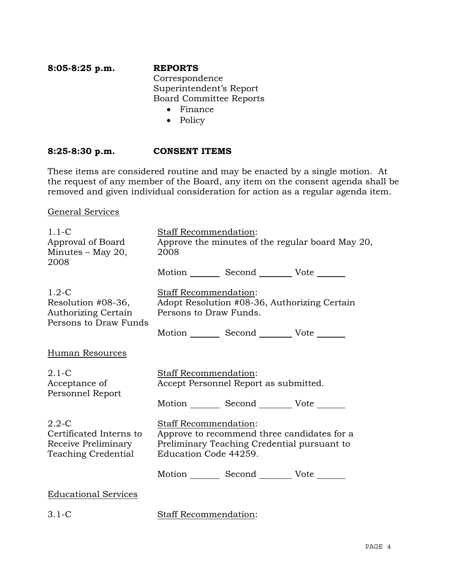## **8:05-8:25 p.m. REPORTS** Correspondence Superintendent's Report Board Committee Reports

- Finance
- Policy

## **8:25-8:30 p.m. CONSENT ITEMS**

These items are considered routine and may be enacted by a single motion. At the request of any member of the Board, any item on the consent agenda shall be removed and given individual consideration for action as a regular agenda item.

General Services

| $1.1 - C$<br>Approval of Board<br>Minutes $-$ May 20,<br>2008                        | Staff Recommendation:<br>Approve the minutes of the regular board May 20,<br>2008                                                            |  |  |
|--------------------------------------------------------------------------------------|----------------------------------------------------------------------------------------------------------------------------------------------|--|--|
|                                                                                      | Motion _________ Second __________ Vote _______                                                                                              |  |  |
| $1.2-C$<br>Resolution #08-36,<br><b>Authorizing Certain</b><br>Persons to Draw Funds | Staff Recommendation:<br>Adopt Resolution #08-36, Authorizing Certain<br>Persons to Draw Funds.                                              |  |  |
|                                                                                      | Motion _________ Second __________ Vote _______                                                                                              |  |  |
| <b>Human Resources</b>                                                               |                                                                                                                                              |  |  |
| $2.1-C$<br>Acceptance of<br>Personnel Report                                         | Staff Recommendation:<br>Accept Personnel Report as submitted.                                                                               |  |  |
|                                                                                      | Motion Second Vote ______                                                                                                                    |  |  |
| $2.2 - C$<br>Certificated Interns to<br>Receive Preliminary<br>Teaching Credential   | Staff Recommendation:<br>Approve to recommend three candidates for a<br>Preliminary Teaching Credential pursuant to<br>Education Code 44259. |  |  |
|                                                                                      | Motion Second Vote ______                                                                                                                    |  |  |
| <b>Educational Services</b>                                                          |                                                                                                                                              |  |  |
| $3.1 - C$                                                                            | Staff Recommendation:                                                                                                                        |  |  |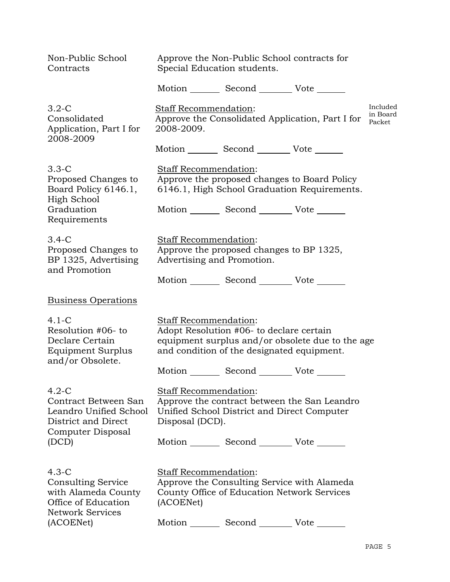| Non-Public School<br>Contracts                                                        | Approve the Non-Public School contracts for<br>Special Education students.                                                       |                                                                                                                        |                                                                                              |  |  |
|---------------------------------------------------------------------------------------|----------------------------------------------------------------------------------------------------------------------------------|------------------------------------------------------------------------------------------------------------------------|----------------------------------------------------------------------------------------------|--|--|
|                                                                                       |                                                                                                                                  | Motion _________ Second __________ Vote _______                                                                        |                                                                                              |  |  |
| $3.2 - C$<br>Consolidated<br>Application, Part I for<br>2008-2009                     | Included<br><b>Staff Recommendation:</b><br>in Board<br>Approve the Consolidated Application, Part I for<br>Packet<br>2008-2009. |                                                                                                                        |                                                                                              |  |  |
|                                                                                       |                                                                                                                                  | Motion _________ Second __________ Vote _______                                                                        |                                                                                              |  |  |
| $3.3 - C$<br>Proposed Changes to<br>Board Policy 6146.1,<br>High School<br>Graduation |                                                                                                                                  | Staff Recommendation:<br>Motion _________ Second __________ Vote _______                                               | Approve the proposed changes to Board Policy<br>6146.1, High School Graduation Requirements. |  |  |
| Requirements                                                                          |                                                                                                                                  |                                                                                                                        |                                                                                              |  |  |
| $3.4-C$<br>Proposed Changes to<br>BP 1325, Advertising<br>and Promotion               |                                                                                                                                  | <b>Staff Recommendation:</b><br>Approve the proposed changes to BP 1325,<br>Advertising and Promotion.                 |                                                                                              |  |  |
|                                                                                       |                                                                                                                                  | Motion _________ Second __________ Vote _______                                                                        |                                                                                              |  |  |
| <b>Business Operations</b>                                                            |                                                                                                                                  |                                                                                                                        |                                                                                              |  |  |
| 4.1-C<br>Resolution #06- to<br>Declare Certain<br>Equipment Surplus                   |                                                                                                                                  | <b>Staff Recommendation:</b><br>Adopt Resolution #06- to declare certain<br>and condition of the designated equipment. | equipment surplus and/or obsolete due to the age                                             |  |  |
| and/or Obsolete.                                                                      |                                                                                                                                  | Motion _________ Second __________ Vote _______                                                                        |                                                                                              |  |  |
| 4.2-C<br>Contract Between San<br>Leandro Unified School<br>District and Direct        | Disposal (DCD).                                                                                                                  | <b>Staff Recommendation:</b>                                                                                           | Approve the contract between the San Leandro<br>Unified School District and Direct Computer  |  |  |
| Computer Disposal<br>(DCD)                                                            |                                                                                                                                  | Motion _________ Second __________ Vote _______                                                                        |                                                                                              |  |  |
| 4.3-C<br><b>Consulting Service</b><br>with Alameda County<br>Office of Education      | (ACOENet)                                                                                                                        | Staff Recommendation:                                                                                                  | Approve the Consulting Service with Alameda<br>County Office of Education Network Services   |  |  |
| Network Services<br>(ACOENet)                                                         |                                                                                                                                  | Motion _________ Second __________ Vote _______                                                                        |                                                                                              |  |  |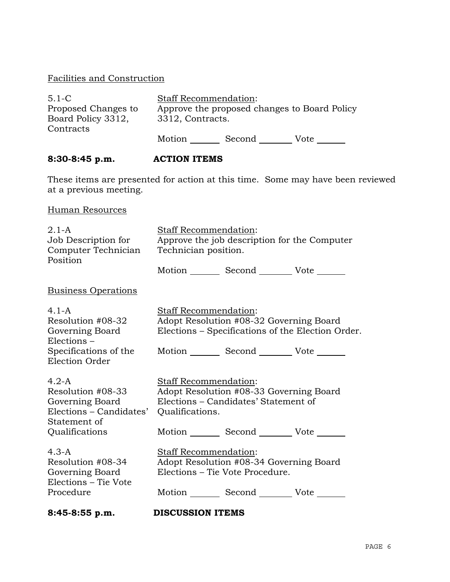## Facilities and Construction

| $5.1 - C$           | <b>Staff Recommendation:</b>                 |        |      |  |
|---------------------|----------------------------------------------|--------|------|--|
| Proposed Changes to | Approve the proposed changes to Board Policy |        |      |  |
| Board Policy 3312,  | 3312, Contracts.                             |        |      |  |
| Contracts           |                                              |        |      |  |
|                     | Motion                                       | Second | Vote |  |

# **8:30-8:45 p.m. ACTION ITEMS**

These items are presented for action at this time. Some may have been reviewed at a previous meeting.

## Human Resources

| $2.1 - A$<br>Job Description for<br>Computer Technician<br>Position                         | Staff Recommendation:<br>Approve the job description for the Computer<br>Technician position.                                                      |  |  |
|---------------------------------------------------------------------------------------------|----------------------------------------------------------------------------------------------------------------------------------------------------|--|--|
|                                                                                             | Motion _________ Second __________ Vote _______                                                                                                    |  |  |
| <b>Business Operations</b>                                                                  |                                                                                                                                                    |  |  |
| $4.1 - A$<br>Resolution #08-32<br>Governing Board<br>$Elections -$<br>Specifications of the | Staff Recommendation:<br>Adopt Resolution #08-32 Governing Board<br>Elections – Specifications of the Election Order.<br>Motion Second Vote ______ |  |  |
| Election Order<br>$4.2-A$                                                                   | Staff Recommendation:                                                                                                                              |  |  |
| Resolution #08-33<br>Governing Board<br>Elections – Candidates'<br>Statement of             | Adopt Resolution #08-33 Governing Board<br>Elections – Candidates' Statement of<br>Qualifications.                                                 |  |  |
| Qualifications                                                                              | Motion _________ Second _________ Vote _______                                                                                                     |  |  |
| $4.3 - A$<br>Resolution #08-34<br>Governing Board<br>Elections – Tie Vote                   | Staff Recommendation:<br>Adopt Resolution #08-34 Governing Board<br>Elections – Tie Vote Procedure.                                                |  |  |
| Procedure<br>8:45-8:55 p.m.                                                                 | Motion Second Vote<br><b>DISCUSSION ITEMS</b>                                                                                                      |  |  |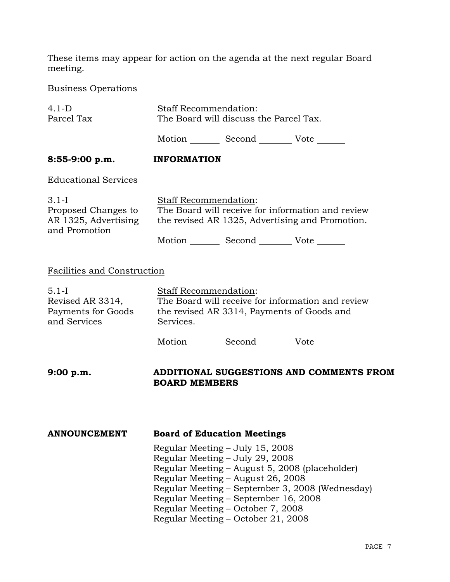These items may appear for action on the agenda at the next regular Board meeting.

Business Operations

| $4.1-D$                                                                   | <b>Staff Recommendation:</b>                                                                                                                                                                                                                                                                                                    |                                        |                                                 |  |  |
|---------------------------------------------------------------------------|---------------------------------------------------------------------------------------------------------------------------------------------------------------------------------------------------------------------------------------------------------------------------------------------------------------------------------|----------------------------------------|-------------------------------------------------|--|--|
| Parcel Tax                                                                |                                                                                                                                                                                                                                                                                                                                 | The Board will discuss the Parcel Tax. |                                                 |  |  |
|                                                                           |                                                                                                                                                                                                                                                                                                                                 |                                        | Motion Second Vote                              |  |  |
| 8:55-9:00 p.m.                                                            | <b>INFORMATION</b>                                                                                                                                                                                                                                                                                                              |                                        |                                                 |  |  |
| <b>Educational Services</b>                                               |                                                                                                                                                                                                                                                                                                                                 |                                        |                                                 |  |  |
| $3.1 - I$<br>Proposed Changes to<br>AR 1325, Advertising<br>and Promotion | <b>Staff Recommendation:</b><br>The Board will receive for information and review<br>the revised AR 1325, Advertising and Promotion.                                                                                                                                                                                            |                                        |                                                 |  |  |
|                                                                           |                                                                                                                                                                                                                                                                                                                                 |                                        | Motion _________ Second __________ Vote _______ |  |  |
| <b>Facilities and Construction</b>                                        |                                                                                                                                                                                                                                                                                                                                 |                                        |                                                 |  |  |
| $5.1-I$<br>Revised AR 3314,<br>Payments for Goods<br>and Services         | Staff Recommendation:<br>The Board will receive for information and review<br>the revised AR 3314, Payments of Goods and<br>Services.                                                                                                                                                                                           |                                        |                                                 |  |  |
|                                                                           |                                                                                                                                                                                                                                                                                                                                 |                                        | Motion _________ Second __________ Vote _______ |  |  |
| 9:00 p.m.                                                                 | <b>BOARD MEMBERS</b>                                                                                                                                                                                                                                                                                                            |                                        | ADDITIONAL SUGGESTIONS AND COMMENTS FROM        |  |  |
| <b>ANNOUNCEMENT</b>                                                       | <b>Board of Education Meetings</b>                                                                                                                                                                                                                                                                                              |                                        |                                                 |  |  |
|                                                                           | Regular Meeting – July 15, 2008<br>Regular Meeting – July 29, 2008<br>Regular Meeting - August 5, 2008 (placeholder)<br>Regular Meeting - August 26, 2008<br>Regular Meeting – September 3, 2008 (Wednesday)<br>Regular Meeting - September 16, 2008<br>Regular Meeting – October 7, 2008<br>Regular Meeting - October 21, 2008 |                                        |                                                 |  |  |